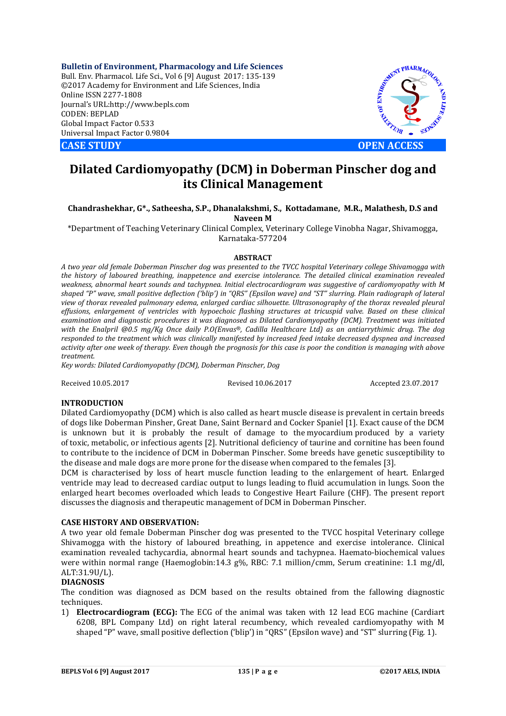**Bulletin of Environment, Pharmacology and Life Sciences** Bull. Env. Pharmacol. Life Sci., Vol 6 [9] August 2017: 135-139 ©2017 Academy for Environment and Life Sciences, India Online ISSN 2277-1808 Journal's URL:http://www.bepls.com CODEN: BEPLAD Global Impact Factor 0.533 Universal Impact Factor 0.9804



# **Dilated Cardiomyopathy (DCM) in Doberman Pinscher dog and its Clinical Management**

### **Chandrashekhar, G\*., Satheesha, S.P., Dhanalakshmi, S., Kottadamane, M.R., Malathesh, D.S and Naveen M**

\*Department of Teaching Veterinary Clinical Complex, Veterinary College Vinobha Nagar, Shivamogga, Karnataka-577204

### **ABSTRACT**

*A two year old female Doberman Pinscher dog was presented to the TVCC hospital Veterinary college Shivamogga with the history of laboured breathing, inappetence and exercise intolerance. The detailed clinical examination revealed weakness, abnormal heart sounds and tachypnea. Initial electrocardiogram was suggestive of cardiomyopathy with M shaped "P" wave, small positive deflection ('blip') in "QRS" (Epsilon wave) and "ST" slurring. Plain radiograph of lateral view of thorax revealed pulmonary edema, enlarged cardiac silhouette. Ultrasonography of the thorax revealed pleural effusions, enlargement of ventricles with hypoechoic flashing structures at tricuspid valve. Based on these clinical examination and diagnostic procedures it was diagnosed as Dilated Cardiomyopathy (DCM). Treatment was initiated with the Enalpril @0.5 mg/Kg Once daily P.O(Envas®, Cadilla Healthcare Ltd) as an antiarrythimic drug. The dog responded to the treatment which was clinically manifested by increased feed intake decreased dyspnea and increased activity after one week of therapy. Even though the prognosis for this case is poor the condition is managing with above treatment.*

*Key words: Dilated Cardiomyopathy (DCM), Doberman Pinscher, Dog*

Received 10.05.2017 Revised 10.06.2017 Accepted 23.07.2017

### **INTRODUCTION**

Dilated Cardiomyopathy (DCM) which is also called as heart muscle disease is prevalent in certain breeds of dogs like Doberman Pinsher, Great Dane, Saint Bernard and Cocker Spaniel [1]. Exact cause of the DCM is unknown but it is probably the result of damage to the myocardium produced by a variety of toxic, metabolic, or infectious agents [2]. Nutritional deficiency of taurine and cornitine has been found to contribute to the incidence of DCM in Doberman Pinscher. Some breeds have genetic susceptibility to the disease and male dogs are more prone for the disease when compared to the females [3].

DCM is characterised by loss of heart muscle function leading to the enlargement of heart. Enlarged ventricle may lead to decreased cardiac output to lungs leading to fluid accumulation in lungs. Soon the enlarged heart becomes overloaded which leads to Congestive Heart Failure (CHF). The present report discusses the diagnosis and therapeutic management of DCM in Doberman Pinscher.

# **CASE HISTORY AND OBSERVATION:**

A two year old female Doberman Pinscher dog was presented to the TVCC hospital Veterinary college Shivamogga with the history of laboured breathing, in appetence and exercise intolerance. Clinical examination revealed tachycardia, abnormal heart sounds and tachypnea. Haemato-biochemical values were within normal range (Haemoglobin:14.3 g%, RBC: 7.1 million/cmm, Serum creatinine: 1.1 mg/dl, ALT:31.9U/L).

### **DIAGNOSIS**

The condition was diagnosed as DCM based on the results obtained from the fallowing diagnostic techniques.

1) **Electrocardiogram (ECG):** The ECG of the animal was taken with 12 lead ECG machine (Cardiart 6208, BPL Company Ltd) on right lateral recumbency, which revealed cardiomyopathy with M shaped "P" wave, small positive deflection ('blip') in "QRS" (Epsilon wave) and "ST" slurring (Fig. 1).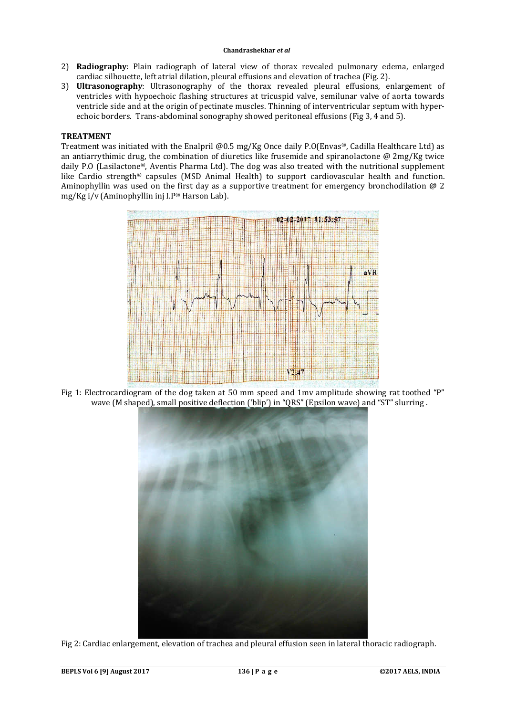### **Chandrashekhar** *et al*

- 2) **Radiography**: Plain radiograph of lateral view of thorax revealed pulmonary edema, enlarged cardiac silhouette, left atrial dilation, pleural effusions and elevation of trachea (Fig. 2).
- 3) **Ultrasonography**: Ultrasonography of the thorax revealed pleural effusions, enlargement of ventricles with hypoechoic flashing structures at tricuspid valve, semilunar valve of aorta towards ventricle side and at the origin of pectinate muscles. Thinning of interventricular septum with hyperechoic borders. Trans-abdominal sonography showed peritoneal effusions (Fig 3, 4 and 5).

# **TREATMENT**

Treatment was initiated with the Enalpril @0.5 mg/Kg Once daily P.O(Envas®, Cadilla Healthcare Ltd) as an antiarrythimic drug, the combination of diuretics like frusemide and spiranolactone @ 2mg/Kg twice daily P.O (Lasilactone®, Aventis Pharma Ltd). The dog was also treated with the nutritional supplement like Cardio strength® capsules (MSD Animal Health) to support cardiovascular health and function. Aminophyllin was used on the first day as a supportive treatment for emergency bronchodilation  $\omega$  2 mg/Kg i/v (Aminophyllin inj I.P® Harson Lab).



Fig 1: Electrocardiogram of the dog taken at 50 mm speed and 1mv amplitude showing rat toothed "P" wave (M shaped), small positive deflection ('blip') in "QRS" (Epsilon wave) and "ST" slurring .



Fig 2: Cardiac enlargement, elevation of trachea and pleural effusion seen in lateral thoracic radiograph.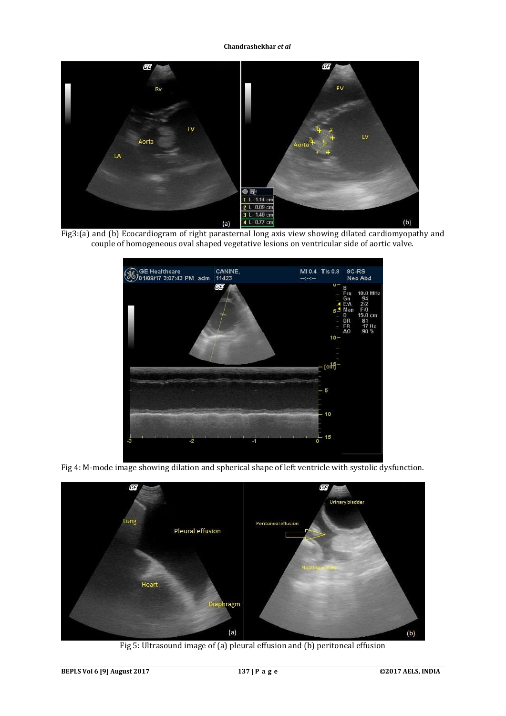**Chandrashekhar** *et al*



Fig3:(a) and (b) Ecocardiogram of right parasternal long axis view showing dilated cardiomyopathy and couple of homogeneous oval shaped vegetative lesions on ventricular side of aortic valve.



Fig 4: M-mode image showing dilation and spherical shape of left ventricle with systolic dysfunction.



Fig 5: Ultrasound image of (a) pleural effusion and (b) peritoneal effusion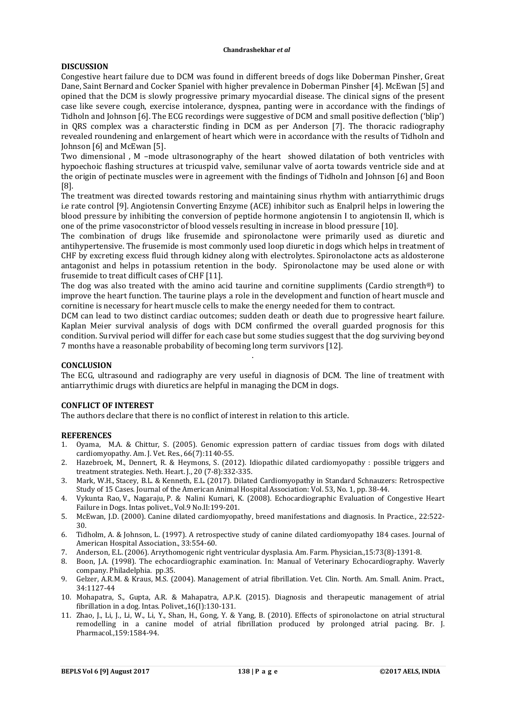#### **Chandrashekhar** *et al*

# **DISCUSSION**

Congestive heart failure due to DCM was found in different breeds of dogs like Doberman Pinsher, Great Dane, Saint Bernard and Cocker Spaniel with higher prevalence in Doberman Pinsher [4]. McEwan [5] and opined that the DCM is slowly progressive primary myocardial disease. The clinical signs of the present case like severe cough, exercise intolerance, dyspnea, panting were in accordance with the findings of Tidholn and Johnson [6]. The ECG recordings were suggestive of DCM and small positive deflection ('blip') in QRS complex was a characterstic finding in DCM as per Anderson [7]. The thoracic radiography revealed roundening and enlargement of heart which were in accordance with the results of Tidholn and Johnson [6] and McEwan [5].

Two dimensional , M –mode ultrasonography of the heart showed dilatation of both ventricles with hypoechoic flashing structures at tricuspid valve, semilunar valve of aorta towards ventricle side and at the origin of pectinate muscles were in agreement with the findings of Tidholn and Johnson [6] and Boon [8].

The treatment was directed towards restoring and maintaining sinus rhythm with antiarrythimic drugs i.e rate control [9]. Angiotensin Converting Enzyme (ACE) inhibitor such as Enalpril helps in lowering the blood pressure by inhibiting the conversion of peptide hormone angiotensin I to angiotensin II, which is one of the prime vasoconstrictor of blood vessels resulting in increase in blood pressure [10].

The combination of drugs like frusemide and spironolactone were primarily used as diuretic and antihypertensive. The frusemide is most commonly used loop diuretic in dogs which helps in treatment of CHF by excreting excess fluid through kidney along with electrolytes. Spironolactone acts as aldosterone antagonist and helps in potassium retention in the body. Spironolactone may be used alone or with frusemide to treat difficult cases of CHF [11].

The dog was also treated with the amino acid taurine and cornitine suppliments (Cardio strength<sup>®</sup>) to improve the heart function. The taurine plays a role in the development and function of heart muscle and cornitine is necessary for heart muscle cells to make the energy needed for them to contract.

DCM can lead to two distinct cardiac outcomes; sudden death or death due to progressive heart failure. Kaplan Meier survival analysis of dogs with DCM confirmed the overall guarded prognosis for this condition. Survival period will differ for each case but some studies suggest that the dog surviving beyond 7 months have a reasonable probability of becoming long term survivors [12].

# **CONCLUSION**

The ECG, ultrasound and radiography are very useful in diagnosis of DCM. The line of treatment with antiarrythimic drugs with diuretics are helpful in managing the DCM in dogs.

.

# **CONFLICT OF INTEREST**

The authors declare that there is no conflict of interest in relation to this article.

### **REFERENCES**

- 1. Oyama, M.A. & Chittur, S. (2005). Genomic expression pattern of cardiac tissues from dogs with dilated cardiomyopathy. Am. J. Vet. Res., 66(7):1140-55.
- 2. Hazebroek, M., Dennert, R. & Heymons, S. (2012). Idiopathic dilated cardiomyopathy : possible triggers and treatment strategies. Neth. Heart. J., 20 (7-8):332-335.
- 3. Mark, W.H., Stacey, B.L. & Kenneth, E.L. (2017). Dilated Cardiomyopathy in Standard Schnauzers: Retrospective Study of 15 Cases. Journal of the American Animal Hospital Association: Vol. 53, No. 1, pp. 38-44.
- 4. Vykunta Rao, V., Nagaraju, P. & Nalini Kumari, K. (2008). Echocardiographic Evaluation of Congestive Heart Failure in Dogs. Intas polivet., Vol.9 No.II:199-201.
- 5. McEwan, J.D. (2000). Canine dilated cardiomyopathy, breed manifestations and diagnosis. In Practice., 22:522- 30.
- 6. Tidholm, A. & Johnson, L. (1997). A retrospective study of canine dilated cardiomyopathy 184 cases. Journal of American Hospital Association., 33:554-60.
- 7. Anderson, E.L. (2006). Arrythomogenic right ventricular dysplasia. Am. Farm. Physician.,15:73(8)-1391-8.
- 8. Boon, J.A. (1998). The echocardiographic examination. In: Manual of Veterinary Echocardiography. Waverly company. Philadelphia. pp.35.
- 9. Gelzer, A.R.M. & Kraus, M.S. (2004). Management of atrial fibrillation. Vet. Clin. North. Am. Small. Anim. Pract., 34:1127-44
- 10. Mohapatra, S., Gupta, A.R. & Mahapatra, A.P.K. (2015). Diagnosis and therapeutic management of atrial fibrillation in a dog. Intas. Polivet.,16(I):130-131.
- 11. Zhao, J., Li, J., Li, W., Li, Y., Shan, H., Gong, Y. & Yang, B. (2010). Effects of spironolactone on atrial structural remodelling in a canine model of atrial fibrillation produced by prolonged atrial pacing. Br. J. Pharmacol.,159:1584-94.